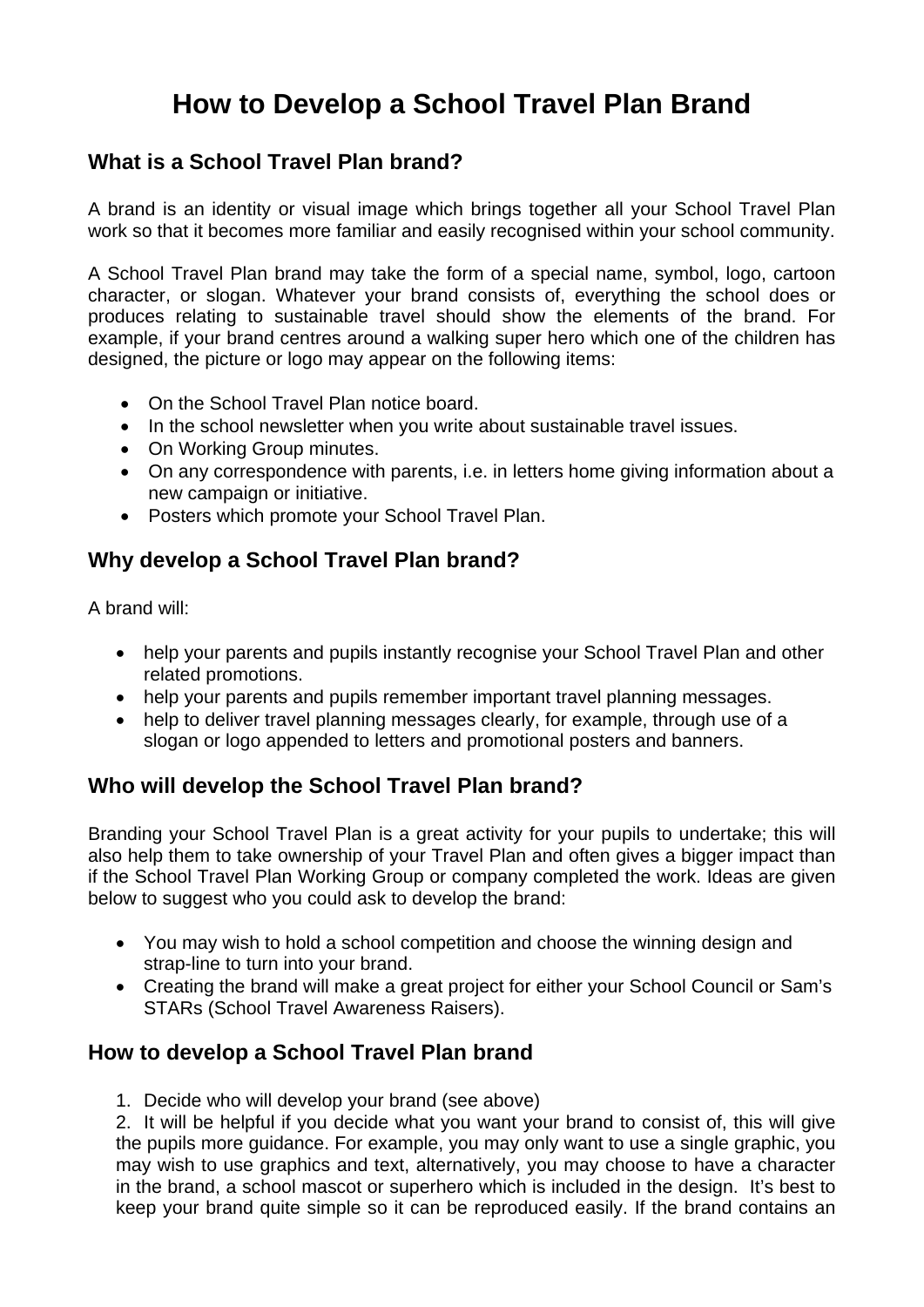# **How to Develop a School Travel Plan Brand**

### **What is a School Travel Plan brand?**

A brand is an identity or visual image which brings together all your School Travel Plan work so that it becomes more familiar and easily recognised within your school community.

A School Travel Plan brand may take the form of a special name, symbol, logo, cartoon character, or slogan. Whatever your brand consists of, everything the school does or produces relating to sustainable travel should show the elements of the brand. For example, if your brand centres around a walking super hero which one of the children has designed, the picture or logo may appear on the following items:

- On the School Travel Plan notice board.
- In the school newsletter when you write about sustainable travel issues.
- On Working Group minutes.
- On any correspondence with parents, i.e. in letters home giving information about a new campaign or initiative.
- Posters which promote your School Travel Plan.

## **Why develop a School Travel Plan brand?**

A brand will:

- help your parents and pupils instantly recognise your School Travel Plan and other related promotions.
- help your parents and pupils remember important travel planning messages.
- help to deliver travel planning messages clearly, for example, through use of a slogan or logo appended to letters and promotional posters and banners.

## **Who will develop the School Travel Plan brand?**

Branding your School Travel Plan is a great activity for your pupils to undertake; this will also help them to take ownership of your Travel Plan and often gives a bigger impact than if the School Travel Plan Working Group or company completed the work. Ideas are given below to suggest who you could ask to develop the brand:

- You may wish to hold a school competition and choose the winning design and strap-line to turn into your brand.
- Creating the brand will make a great project for either your School Council or Sam's STARs (School Travel Awareness Raisers).

## **How to develop a School Travel Plan brand**

1. Decide who will develop your brand (see above)

2. It will be helpful if you decide what you want your brand to consist of, this will give the pupils more guidance. For example, you may only want to use a single graphic, you may wish to use graphics and text, alternatively, you may choose to have a character in the brand, a school mascot or superhero which is included in the design. It's best to keep your brand quite simple so it can be reproduced easily. If the brand contains an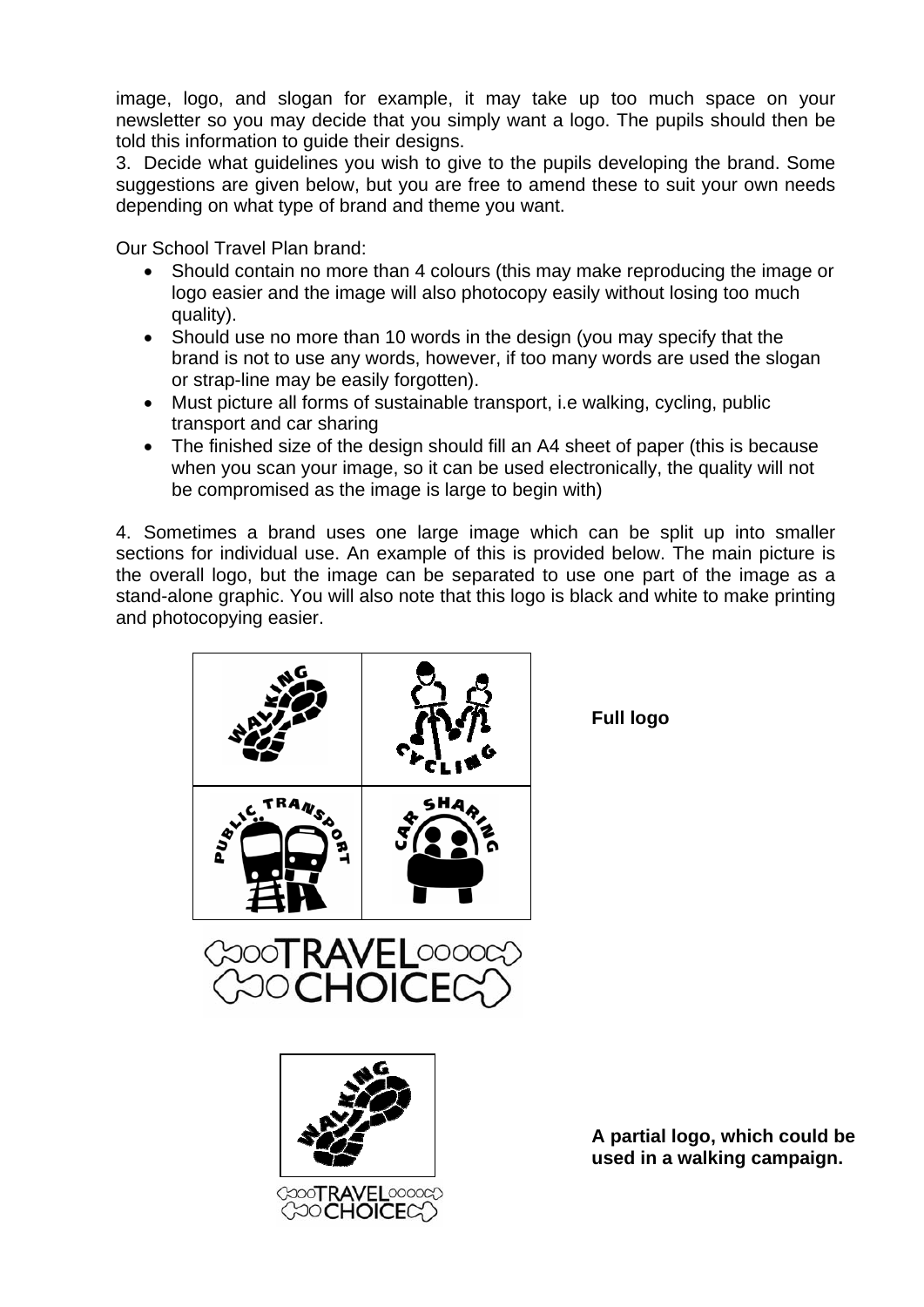image, logo, and slogan for example, it may take up too much space on your newsletter so you may decide that you simply want a logo. The pupils should then be told this information to guide their designs.

3. Decide what guidelines you wish to give to the pupils developing the brand. Some suggestions are given below, but you are free to amend these to suit your own needs depending on what type of brand and theme you want.

Our School Travel Plan brand:

- Should contain no more than 4 colours (this may make reproducing the image or logo easier and the image will also photocopy easily without losing too much quality).
- Should use no more than 10 words in the design (you may specify that the brand is not to use any words, however, if too many words are used the slogan or strap-line may be easily forgotten).
- Must picture all forms of sustainable transport, i.e walking, cycling, public transport and car sharing
- The finished size of the design should fill an A4 sheet of paper (this is because when you scan your image, so it can be used electronically, the quality will not be compromised as the image is large to begin with)

4. Sometimes a brand uses one large image which can be split up into smaller sections for individual use. An example of this is provided below. The main picture is the overall logo, but the image can be separated to use one part of the image as a stand-alone graphic. You will also note that this logo is black and white to make printing and photocopying easier.



**Full logo** 



**A partial logo, which could be used in a walking campaign.**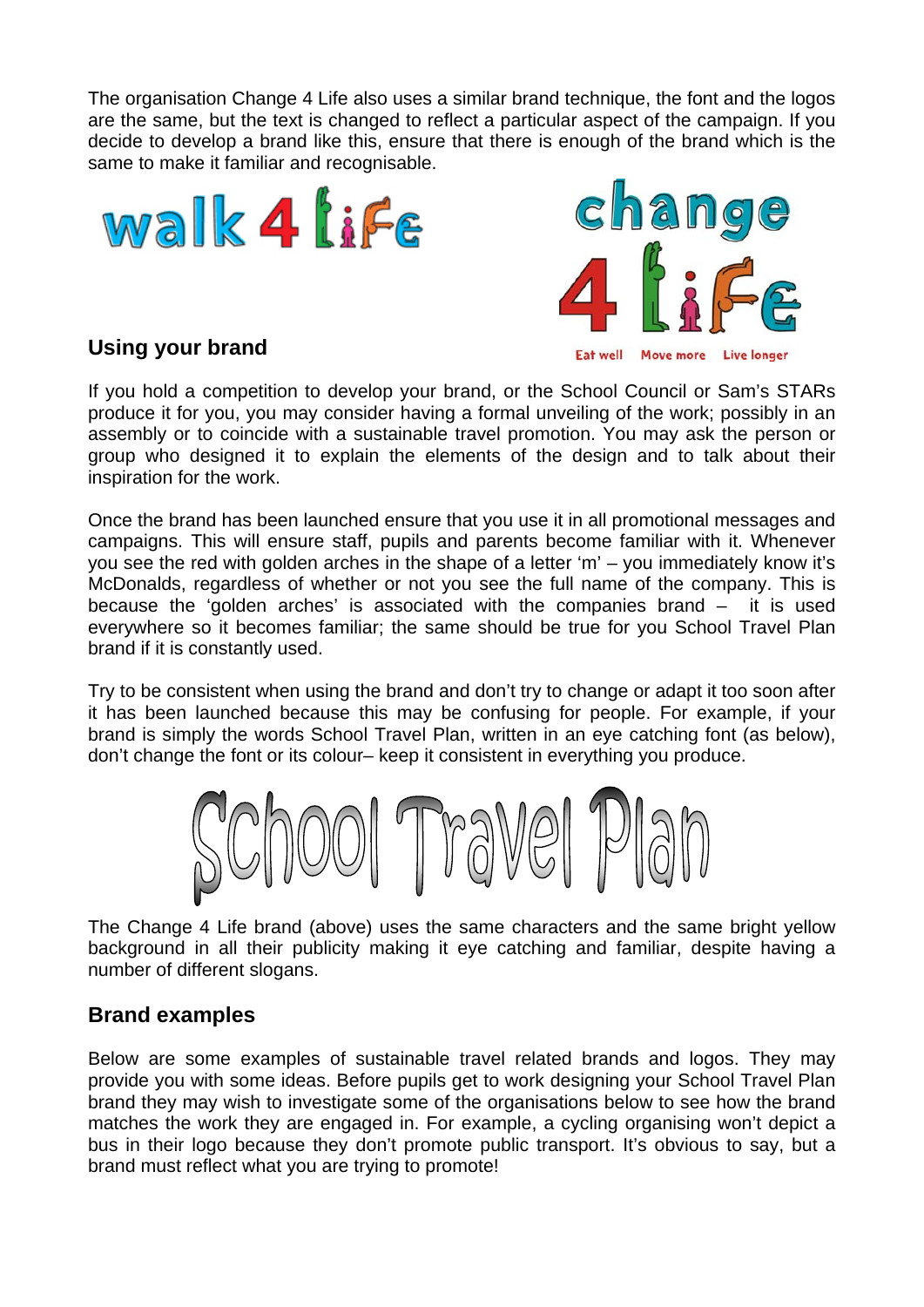The organisation Change 4 Life also uses a similar brand technique, the font and the logos are the same, but the text is changed to reflect a particular aspect of the campaign. If you decide to develop a brand like this, ensure that there is enough of the brand which is the same to make it familiar and recognisable.







If you hold a competition to develop your brand, or the School Council or Sam's STARs produce it for you, you may consider having a formal unveiling of the work; possibly in an assembly or to coincide with a sustainable travel promotion. You may ask the person or group who designed it to explain the elements of the design and to talk about their inspiration for the work.

Once the brand has been launched ensure that you use it in all promotional messages and campaigns. This will ensure staff, pupils and parents become familiar with it. Whenever you see the red with golden arches in the shape of a letter 'm' – you immediately know it's McDonalds, regardless of whether or not you see the full name of the company. This is because the 'golden arches' is associated with the companies brand – it is used everywhere so it becomes familiar; the same should be true for you School Travel Plan brand if it is constantly used.

Try to be consistent when using the brand and don't try to change or adapt it too soon after it has been launched because this may be confusing for people. For example, if your brand is simply the words School Travel Plan, written in an eye catching font (as below), don't change the font or its colour– keep it consistent in everything you produce.



The Change 4 Life brand (above) uses the same characters and the same bright vellow background in all their publicity making it eye catching and familiar, despite having a number of different slogans.

## **Brand examples**

Below are some examples of sustainable travel related brands and logos. They may provide you with some ideas. Before pupils get to work designing your School Travel Plan brand they may wish to investigate some of the organisations below to see how the brand matches the work they are engaged in. For example, a cycling organising won't depict a bus in their logo because they don't promote public transport. It's obvious to say, but a brand must reflect what you are trying to promote!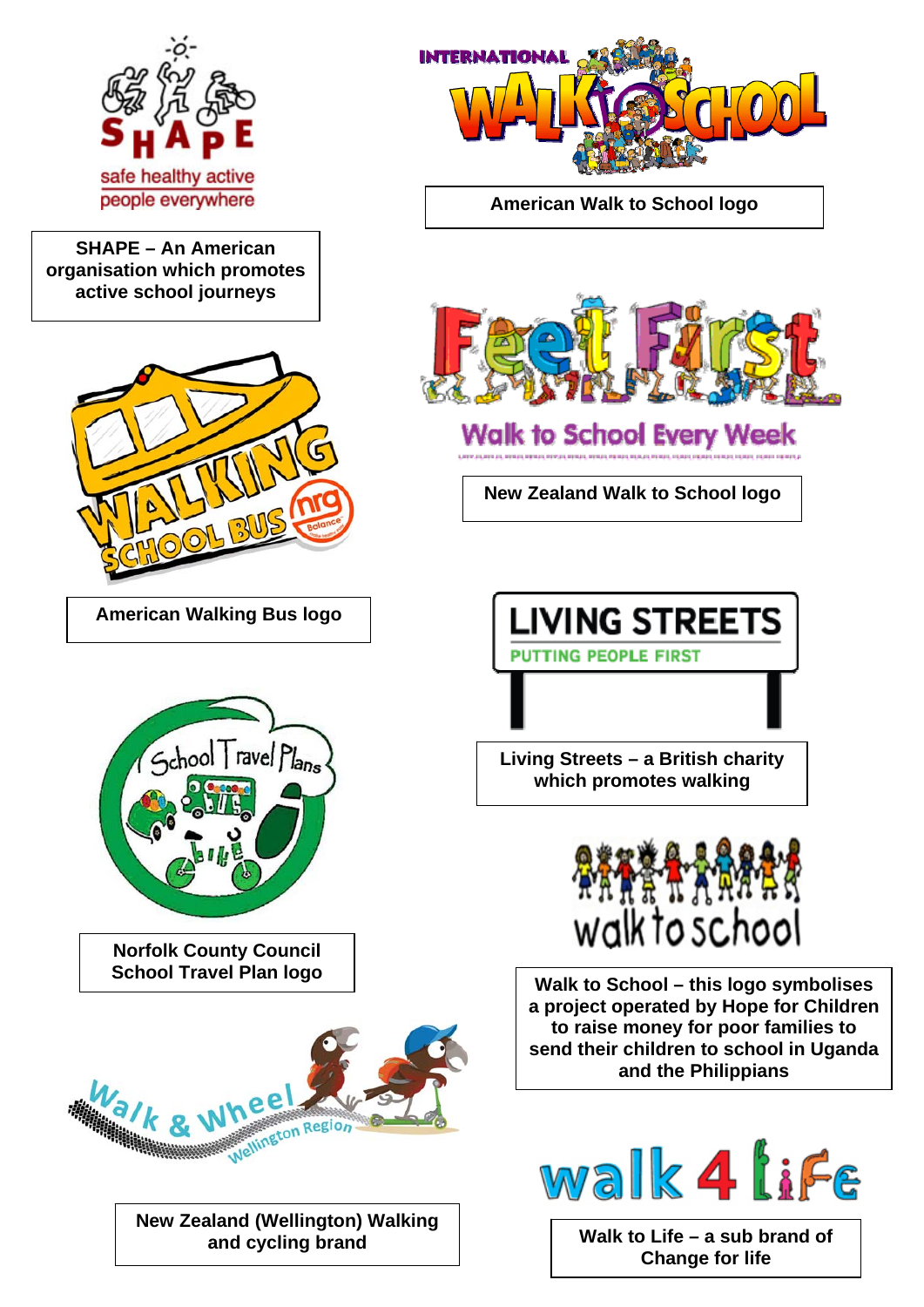

**SHAPE – An American organisation which promotes active school journeys** 



**American Walking Bus logo** 



**Norfolk County Council School Travel Plan logo** 



**New Zealand (Wellington) Walking** 



**American Walk to School logo** 



**Walk to School Every Week** 

**New Zealand Walk to School logo** 

**LIVING STREETS PUTTING PEOPLE FIRST** 

**Living Streets – a British charity which promotes walking** 



**Walk to Sc hool – this logo symbolises a project operated b y Hope for Children to raise m oney for poor families to send their children to school in Uganda and the Philippians** 



and cycling brand **and cycling brand Change for life**